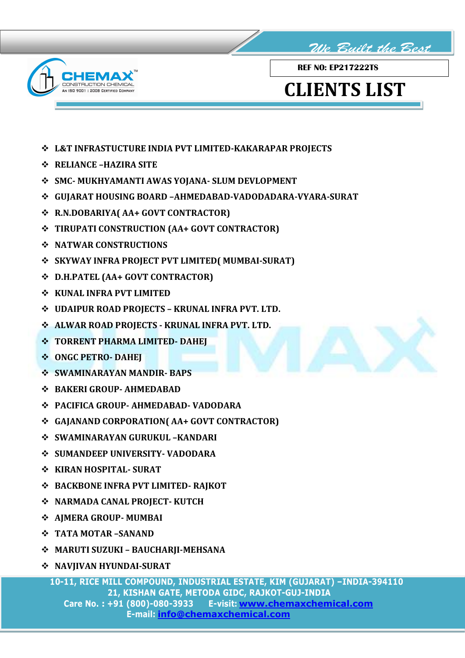



REF NO: EP217222TS

## CLIENTS LIST

- L&T INFRASTUCTURE INDIA PVT LIMITED-KAKARAPAR PROJECTS
- RELIANCE –HAZIRA SITE
- SMC- MUKHYAMANTI AWAS YOJANA- SLUM DEVLOPMENT
- GUJARAT HOUSING BOARD –AHMEDABAD-VADODADARA-VYARA-SURAT
- R.N.DOBARIYA( AA+ GOVT CONTRACTOR)
- TIRUPATI CONSTRUCTION (AA+ GOVT CONTRACTOR)
- **S** NATWAR CONSTRUCTIONS
- SKYWAY INFRA PROJECT PVT LIMITED( MUMBAI-SURAT)
- D.H.PATEL (AA+ GOVT CONTRACTOR)
- **❖ KUNAL INFRA PVT LIMITED**
- UDAIPUR ROAD PROJECTS KRUNAL INFRA PVT. LTD.
- ALWAR ROAD PROJECTS KRUNAL INFRA PVT. LTD.
- $\div$  **TORRENT PHARMA LIMITED- DAHEI**
- **ONGC PETRO- DAHEI**
- **SWAMINARAYAN MANDIR- BAPS**
- BAKERI GROUP- AHMEDABAD
- PACIFICA GROUP- AHMEDABAD- VADODARA
- GAJANAND CORPORATION( AA+ GOVT CONTRACTOR)
- SWAMINARAYAN GURUKUL –KANDARI
- SUMANDEEP UNIVERSITY- VADODARA
- ❖ KIRAN HOSPITAL- SURAT
- BACKBONE INFRA PVT LIMITED- RAJKOT
- NARMADA CANAL PROJECT- KUTCH
- AJMERA GROUP- MUMBAI
- TATA MOTAR –SANAND
- MARUTI SUZUKI BAUCHARJI-MEHSANA
- NAVJIVAN HYUNDAI-SURAT

 10-11, RICE MILL COMPOUND, INDUSTRIAL ESTATE, KIM (GUJARAT) –INDIA-394110 21, KISHAN GATE, METODA GIDC, RAJKOT-GUJ-INDIA Care No. : +91 (800)-080-3933 E-visit: www.chemaxchemical.com E-mail: info@chemaxchemical.com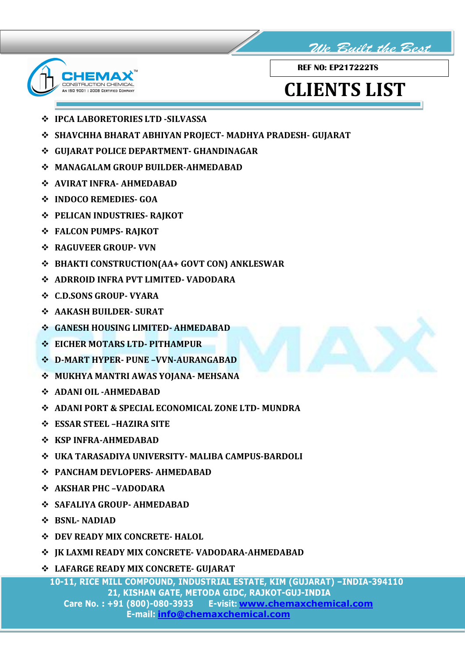



REF NO: EP217222TS

## CLIENTS LIST

- **❖ IPCA LABORETORIES LTD -SILVASSA**
- SHAVCHHA BHARAT ABHIYAN PROJECT- MADHYA PRADESH- GUJARAT
- GUJARAT POLICE DEPARTMENT- GHANDINAGAR
- MANAGALAM GROUP BUILDER-AHMEDABAD
- AVIRAT INFRA- AHMEDABAD
- INDOCO REMEDIES- GOA
- **❖ PELICAN INDUSTRIES- RAJKOT**
- FALCON PUMPS- RAJKOT
- RAGUVEER GROUP- VVN
- BHAKTI CONSTRUCTION(AA+ GOVT CON) ANKLESWAR
- ADRROID INFRA PVT LIMITED- VADODARA
- C.D.SONS GROUP- VYARA
- AAKASH BUILDER- SURAT
- GANESH HOUSING LIMITED- AHMEDABAD
- **❖ EICHER MOTARS LTD- PITHAMPUR**
- D-MART HYPER- PUNE –VVN-AURANGABAD
- MUKHYA MANTRI AWAS YOJANA- MEHSANA
- ADANI OIL -AHMEDABAD
- ADANI PORT & SPECIAL ECONOMICAL ZONE LTD- MUNDRA
- ESSAR STEEL –HAZIRA SITE
- **❖ KSP INFRA-AHMEDABAD**
- UKA TARASADIYA UNIVERSITY- MALIBA CAMPUS-BARDOLI
- PANCHAM DEVLOPERS- AHMEDABAD
- AKSHAR PHC –VADODARA
- SAFALIYA GROUP- AHMEDABAD
- $\div$  RSNL- NADIAD
- **❖ DEV READY MIX CONCRETE- HALOL**
- JK LAXMI READY MIX CONCRETE- VADODARA-AHMEDABAD
- LAFARGE READY MIX CONCRETE- GUJARAT

 10-11, RICE MILL COMPOUND, INDUSTRIAL ESTATE, KIM (GUJARAT) –INDIA-394110 21, KISHAN GATE, METODA GIDC, RAJKOT-GUJ-INDIA Care No. : +91 (800)-080-3933 E-visit: www.chemaxchemical.com E-mail: info@chemaxchemical.com